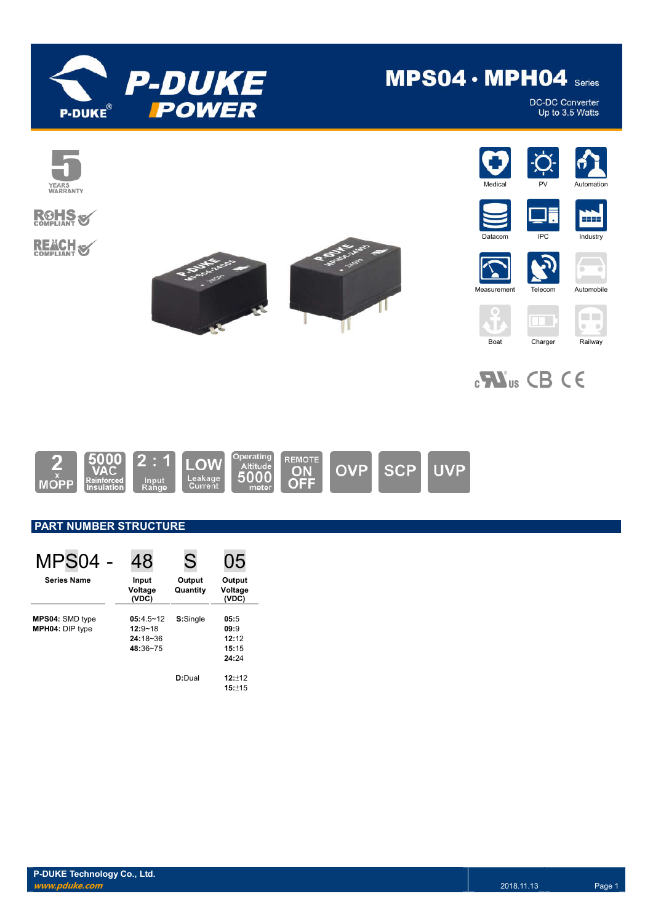

# MPS04 · MPH04 Series

DC-DC Converter<br>Up to 3.5 Watts



## **ROHS REACH S**









m IPC Industry









 $\mathbf{C}$ **W**<sub>us</sub> CB CE



### **PART NUMBER STRUCTURE**

| MPS04                                            | 48                                                       | S                  | 05                                      |
|--------------------------------------------------|----------------------------------------------------------|--------------------|-----------------------------------------|
| <b>Series Name</b>                               | Input<br>Voltage<br>(VDC)                                | Output<br>Quantity | Output<br>Voltage<br>(VDC)              |
| <b>MPS04: SMD type</b><br><b>MPH04: DIP type</b> | $05:4.5 - 12$<br>$12:9 - 18$<br>$24:18 - 36$<br>48:36~75 | S:Single           | 05:5<br>09:9<br>12:12<br>15:15<br>24:24 |
|                                                  |                                                          | D:Dual             | 12:12<br>15:±15                         |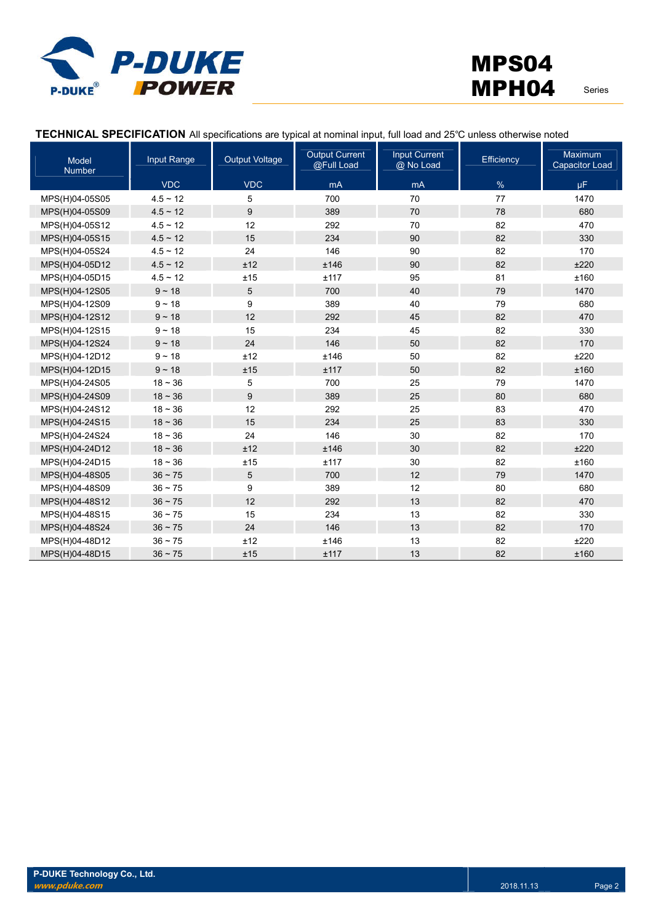

#### **TECHNICAL SPECIFICATION** All specifications are typical at nominal input, full load and 25℃ unless otherwise noted

| Model<br><b>Number</b> | Input Range   | <b>Output Voltage</b> | <b>Output Current</b><br>@Full Load | <b>Input Current</b><br>@ No Load | Efficiency | <b>Maximum</b><br><b>Capacitor Load</b> |
|------------------------|---------------|-----------------------|-------------------------------------|-----------------------------------|------------|-----------------------------------------|
|                        | <b>VDC</b>    | <b>VDC</b>            | mA                                  | mA                                | $\%$       | μF.                                     |
| MPS(H)04-05S05         | $4.5 \sim 12$ | 5                     | 700                                 | 70                                | 77         | 1470                                    |
| MPS(H)04-05S09         | $4.5 \sim 12$ | 9                     | 389                                 | 70                                | 78         | 680                                     |
| MPS(H)04-05S12         | $4.5 \sim 12$ | 12                    | 292                                 | 70                                | 82         | 470                                     |
| MPS(H)04-05S15         | $4.5 \sim 12$ | 15                    | 234                                 | 90                                | 82         | 330                                     |
| MPS(H)04-05S24         | $4.5 \sim 12$ | 24                    | 146                                 | 90                                | 82         | 170                                     |
| MPS(H)04-05D12         | $4.5 \sim 12$ | ±12                   | ±146                                | 90                                | 82         | ±220                                    |
| MPS(H)04-05D15         | $4.5 \sim 12$ | ±15                   | ±117                                | 95                                | 81         | ±160                                    |
| MPS(H)04-12S05         | $9 - 18$      | 5                     | 700                                 | 40                                | 79         | 1470                                    |
| MPS(H)04-12S09         | $9 - 18$      | 9                     | 389                                 | 40                                | 79         | 680                                     |
| MPS(H)04-12S12         | $9 - 18$      | 12                    | 292                                 | 45                                | 82         | 470                                     |
| MPS(H)04-12S15         | $9 - 18$      | 15                    | 234                                 | 45                                | 82         | 330                                     |
| MPS(H)04-12S24         | $9 - 18$      | 24                    | 146                                 | 50                                | 82         | 170                                     |
| MPS(H)04-12D12         | $9 - 18$      | ±12                   | ±146                                | 50                                | 82         | ±220                                    |
| MPS(H)04-12D15         | $9 - 18$      | ±15                   | ±117                                | 50                                | 82         | ±160                                    |
| MPS(H)04-24S05         | $18 - 36$     | 5                     | 700                                 | 25                                | 79         | 1470                                    |
| MPS(H)04-24S09         | $18 - 36$     | 9                     | 389                                 | 25                                | 80         | 680                                     |
| MPS(H)04-24S12         | $18 - 36$     | 12                    | 292                                 | 25                                | 83         | 470                                     |
| MPS(H)04-24S15         | $18 - 36$     | 15                    | 234                                 | 25                                | 83         | 330                                     |
| MPS(H)04-24S24         | $18 - 36$     | 24                    | 146                                 | 30                                | 82         | 170                                     |
| MPS(H)04-24D12         | $18 - 36$     | ±12                   | ±146                                | 30                                | 82         | ±220                                    |
| MPS(H)04-24D15         | $18 - 36$     | ±15                   | ±117                                | 30                                | 82         | ±160                                    |
| MPS(H)04-48S05         | $36 - 75$     | 5                     | 700                                 | 12                                | 79         | 1470                                    |
| MPS(H)04-48S09         | $36 - 75$     | 9                     | 389                                 | 12                                | 80         | 680                                     |
| MPS(H)04-48S12         | $36 - 75$     | 12                    | 292                                 | 13                                | 82         | 470                                     |
| MPS(H)04-48S15         | $36 - 75$     | 15                    | 234                                 | 13                                | 82         | 330                                     |
| MPS(H)04-48S24         | $36 \sim 75$  | 24                    | 146                                 | 13                                | 82         | 170                                     |
| MPS(H)04-48D12         | $36 \sim 75$  | ±12                   | ±146                                | 13                                | 82         | ±220                                    |
| MPS(H)04-48D15         | $36 - 75$     | ±15                   | ±117                                | 13                                | 82         | ±160                                    |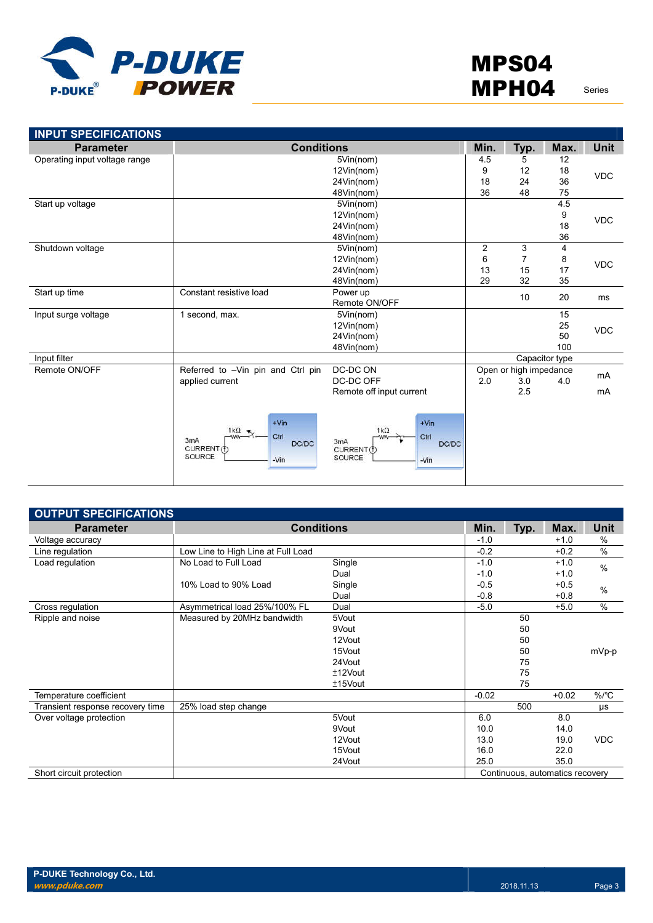

| <b>INPUT SPECIFICATIONS</b>   |                                                                                                |                                                                                        |                |                        |                |             |
|-------------------------------|------------------------------------------------------------------------------------------------|----------------------------------------------------------------------------------------|----------------|------------------------|----------------|-------------|
| <b>Parameter</b>              | <b>Conditions</b>                                                                              |                                                                                        | Min.           | Typ.                   | Max.           | <b>Unit</b> |
| Operating input voltage range |                                                                                                | 5Vin(nom)                                                                              | 4.5            | 5                      | 12             |             |
|                               | 12Vin(nom)                                                                                     |                                                                                        | 9              | 12                     | 18             | <b>VDC</b>  |
|                               |                                                                                                | 24Vin(nom)                                                                             | 18             | 24                     | 36             |             |
|                               |                                                                                                | 48Vin(nom)                                                                             | 36             | 48                     | 75             |             |
| Start up voltage              |                                                                                                | 5Vin(nom)                                                                              |                |                        | 4.5            |             |
|                               |                                                                                                | 12Vin(nom)                                                                             |                |                        | 9              | <b>VDC</b>  |
|                               |                                                                                                | 24Vin(nom)                                                                             |                |                        | 18             |             |
|                               |                                                                                                | 48Vin(nom)                                                                             |                |                        | 36             |             |
| Shutdown voltage              |                                                                                                | 5Vin(nom)                                                                              | $\overline{2}$ | 3                      | $\overline{4}$ |             |
|                               |                                                                                                | 12Vin(nom)                                                                             | 6              | 7                      | 8              | <b>VDC</b>  |
|                               |                                                                                                | 24Vin(nom)                                                                             | 13             | 15                     | 17             |             |
|                               |                                                                                                | 48Vin(nom)                                                                             | 29             | 32                     | 35             |             |
| Start up time                 | Constant resistive load                                                                        | Power up                                                                               |                | 10                     | 20             | ms          |
|                               |                                                                                                | Remote ON/OFF                                                                          |                |                        |                |             |
| Input surge voltage           | 1 second, max.                                                                                 | 5Vin(nom)                                                                              |                |                        | 15             |             |
|                               |                                                                                                | 12Vin(nom)                                                                             |                |                        | 25             | <b>VDC</b>  |
|                               |                                                                                                | 24Vin(nom)                                                                             |                |                        | 50             |             |
|                               |                                                                                                | 48Vin(nom)                                                                             |                |                        | 100            |             |
| Input filter                  |                                                                                                |                                                                                        |                |                        | Capacitor type |             |
| Remote ON/OFF                 | Referred to -Vin pin and Ctrl pin                                                              | DC-DC ON                                                                               |                | Open or high impedance |                | mA          |
|                               | applied current                                                                                | DC-DC OFF                                                                              | 2.0            | 3.0                    | 4.0            |             |
|                               |                                                                                                | Remote off input current                                                               |                | 2.5                    |                | mA          |
|                               | $+V$ in<br>1 $k\Omega$ $\pi$<br>Ctrl<br>ww-<br>3mA<br>DC/DC<br>CURRENT (f)<br>SOURCE<br>$-Vin$ | $+V$ in<br>$1k\Omega$<br>Ctrl<br>-WW<br>3mA<br>DC/DC<br>CURRENT(f)<br>SOURCE<br>$-Vin$ |                |                        |                |             |

| <b>OUTPUT SPECIFICATIONS</b>     |                                    |            |         |      |                                 |               |
|----------------------------------|------------------------------------|------------|---------|------|---------------------------------|---------------|
| <b>Parameter</b>                 | <b>Conditions</b>                  |            | Min.    | Typ. | Max.                            | Unit          |
| Voltage accuracy                 |                                    |            | $-1.0$  |      | $+1.0$                          | %             |
| Line regulation                  | Low Line to High Line at Full Load |            | $-0.2$  |      | $+0.2$                          | $\frac{0}{0}$ |
| Load regulation                  | No Load to Full Load               | Single     | $-1.0$  |      | $+1.0$                          | $\frac{0}{0}$ |
|                                  |                                    | Dual       | $-1.0$  |      | $+1.0$                          |               |
|                                  | 10% Load to 90% Load               | Single     | $-0.5$  |      | $+0.5$                          | $\%$          |
|                                  |                                    | Dual       | $-0.8$  |      | $+0.8$                          |               |
| Cross regulation                 | Asymmetrical load 25%/100% FL      | Dual       | $-5.0$  |      | $+5.0$                          | $\%$          |
| Ripple and noise                 | Measured by 20MHz bandwidth        | 5Vout      |         | 50   |                                 |               |
|                                  |                                    | 9Vout      |         | 50   |                                 |               |
|                                  |                                    | 12Vout     |         | 50   |                                 |               |
|                                  |                                    | 15Vout     |         | 50   |                                 | mVp-p         |
|                                  |                                    | 24Vout     |         | 75   |                                 |               |
|                                  |                                    | $±12$ Vout |         | 75   |                                 |               |
|                                  |                                    | $±15$ Vout |         | 75   |                                 |               |
| Temperature coefficient          |                                    |            | $-0.02$ |      | $+0.02$                         | %/°C          |
| Transient response recovery time | 25% load step change               |            |         | 500  |                                 | μs            |
| Over voltage protection          |                                    | 5Vout      | 6.0     |      | 8.0                             |               |
|                                  |                                    | 9Vout      | 10.0    |      | 14.0                            |               |
|                                  |                                    | 12Vout     | 13.0    |      | 19.0                            | <b>VDC</b>    |
|                                  |                                    | 15Vout     | 16.0    |      | 22.0                            |               |
|                                  |                                    | 24Vout     | 25.0    |      | 35.0                            |               |
| Short circuit protection         |                                    |            |         |      | Continuous, automatics recovery |               |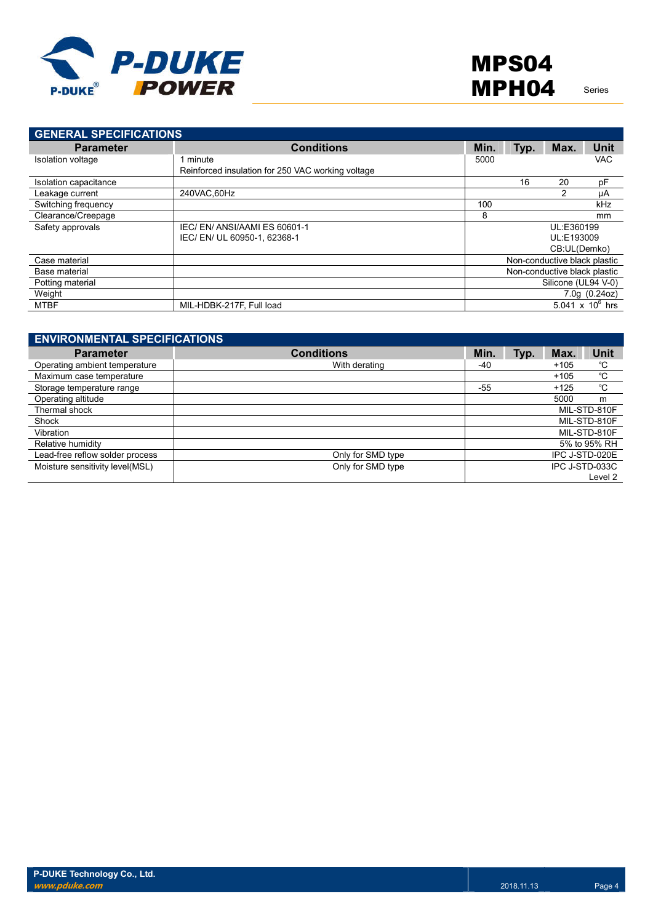

| <b>GENERAL SPECIFICATIONS</b> |                                                   |                              |            |                              |                    |
|-------------------------------|---------------------------------------------------|------------------------------|------------|------------------------------|--------------------|
| <b>Parameter</b>              | <b>Conditions</b>                                 | Min.                         | Typ.       | Max.                         | <b>Unit</b>        |
| Isolation voltage             | 1 minute                                          | 5000                         |            |                              | <b>VAC</b>         |
|                               | Reinforced insulation for 250 VAC working voltage |                              |            |                              |                    |
| Isolation capacitance         |                                                   |                              | 16         | 20                           | pF                 |
| Leakage current               | 240VAC.60Hz                                       |                              |            | 2                            | μA                 |
| Switching frequency           |                                                   | 100                          |            |                              | kHz                |
| Clearance/Creepage            |                                                   | 8                            |            |                              | mm                 |
| Safety approvals              | IEC/EN/ANSI/AAMIES 60601-1                        |                              | UL:E360199 |                              |                    |
|                               | IEC/EN/UL 60950-1, 62368-1                        |                              |            | UL:E193009                   |                    |
|                               |                                                   |                              |            | CB:UL(Demko)                 |                    |
| Case material                 |                                                   |                              |            | Non-conductive black plastic |                    |
| Base material                 |                                                   | Non-conductive black plastic |            |                              |                    |
| Potting material              |                                                   |                              |            | Silicone (UL94 V-0)          |                    |
| Weight                        |                                                   |                              |            |                              | 7.0q(0.24oz)       |
| MTBF                          | MIL-HDBK-217F, Full load                          |                              |            |                              | 5.041 x $10^6$ hrs |

| <b>ENVIRONMENTAL SPECIFICATIONS</b> |                   |       |      |        |                |
|-------------------------------------|-------------------|-------|------|--------|----------------|
| <b>Parameter</b>                    | <b>Conditions</b> | Min.  | Typ. | Max.   | <b>Unit</b>    |
| Operating ambient temperature       | With derating     | -40   |      | $+105$ | °C             |
| Maximum case temperature            |                   |       |      | $+105$ | °C             |
| Storage temperature range           |                   | $-55$ |      | $+125$ | °C             |
| Operating altitude                  |                   |       |      | 5000   | m              |
| Thermal shock                       |                   |       |      |        | MIL-STD-810F   |
| Shock                               |                   |       |      |        | MIL-STD-810F   |
| Vibration                           |                   |       |      |        | MIL-STD-810F   |
| Relative humidity                   |                   |       |      |        | 5% to 95% RH   |
| Lead-free reflow solder process     | Only for SMD type |       |      |        | IPC J-STD-020E |
| Moisture sensitivity level(MSL)     | Only for SMD type |       |      |        | IPC J-STD-033C |
|                                     |                   |       |      |        | Level 2        |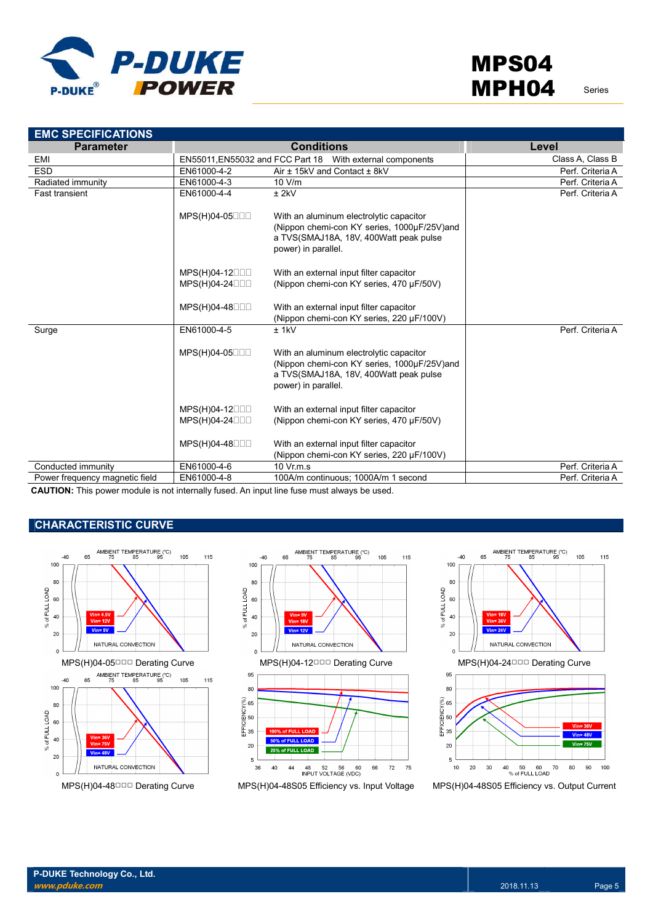

| <b>EMC SPECIFICATIONS</b>      |                                 |                                                                                                                                                         |                  |
|--------------------------------|---------------------------------|---------------------------------------------------------------------------------------------------------------------------------------------------------|------------------|
| <b>Parameter</b>               |                                 | <b>Conditions</b>                                                                                                                                       | Level            |
| EMI                            |                                 | EN55011, EN55032 and FCC Part 18 With external components                                                                                               | Class A, Class B |
| <b>ESD</b>                     | EN61000-4-2                     | Air ± 15kV and Contact ± 8kV                                                                                                                            | Perf. Criteria A |
| Radiated immunity              | EN61000-4-3                     | 10 V/m                                                                                                                                                  | Perf. Criteria A |
| <b>Fast transient</b>          | EN61000-4-4                     | $±$ 2kV                                                                                                                                                 | Perf. Criteria A |
|                                | MPS(H)04-05000                  | With an aluminum electrolytic capacitor<br>(Nippon chemi-con KY series, 1000µF/25V)and<br>a TVS(SMAJ18A, 18V, 400Watt peak pulse<br>power) in parallel. |                  |
|                                | MPS(H)04-12000                  | With an external input filter capacitor                                                                                                                 |                  |
|                                | MPS(H)04-24000                  | (Nippon chemi-con KY series, 470 µF/50V)                                                                                                                |                  |
|                                |                                 |                                                                                                                                                         |                  |
|                                | MPS(H)04-48□□□                  | With an external input filter capacitor                                                                                                                 |                  |
|                                |                                 | (Nippon chemi-con KY series, 220 µF/100V)                                                                                                               |                  |
| Surge                          | EN61000-4-5                     | $±$ 1kV                                                                                                                                                 | Perf. Criteria A |
|                                | MPS(H)04-05000                  | With an aluminum electrolytic capacitor<br>(Nippon chemi-con KY series, 1000µF/25V)and<br>a TVS(SMAJ18A, 18V, 400Watt peak pulse<br>power) in parallel. |                  |
|                                | $MPS(H)04-12$<br>MPS(H)04-24□□□ | With an external input filter capacitor<br>(Nippon chemi-con KY series, 470 µF/50V)                                                                     |                  |
|                                | MPS(H)04-48000                  | With an external input filter capacitor<br>(Nippon chemi-con KY series, 220 µF/100V)                                                                    |                  |
| Conducted immunity             | EN61000-4-6                     | 10 Vr.m.s                                                                                                                                               | Perf. Criteria A |
| Power frequency magnetic field | EN61000-4-8                     | 100A/m continuous; 1000A/m 1 second                                                                                                                     | Perf. Criteria A |
| $\mathbf{r}$                   |                                 |                                                                                                                                                         |                  |

**CAUTION:** This power module is not internally fused. An input line fuse must always be used.

#### **CHARACTERISTIC CURVE**





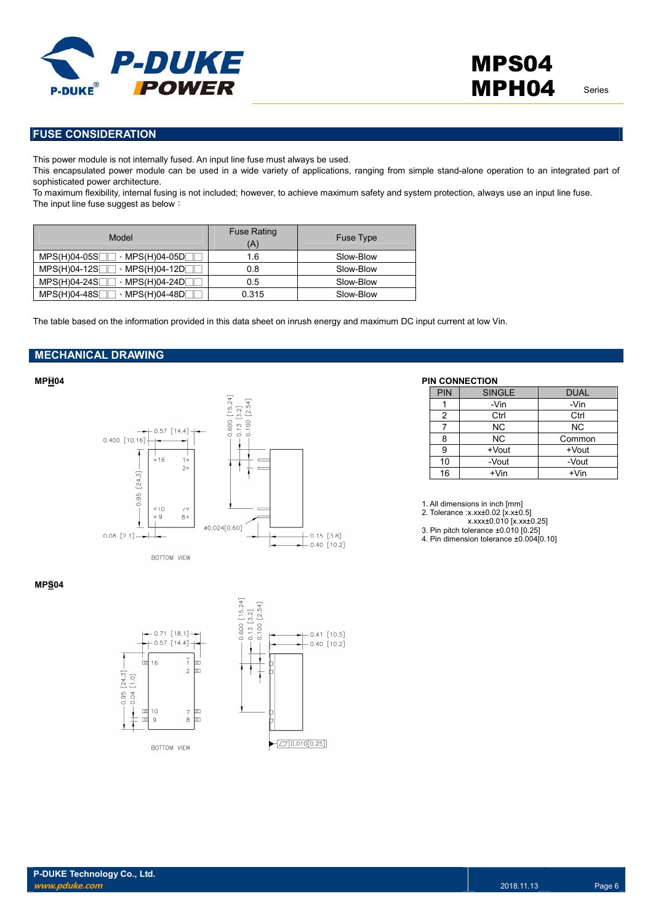

**FUSE CONSIDERATION**

This power module is not internally fused. An input line fuse must always be used.

This encapsulated power module can be used in a wide variety of applications, ranging from simple stand-alone operation to an integrated part of sophisticated power architecture.

To maximum flexibility, internal fusing is not included; however, to achieve maximum safety and system protection, always use an input line fuse. The input line fuse suggest as below:

| Model                                         | <b>Fuse Rating</b><br>(A) | <b>Fuse Type</b> |
|-----------------------------------------------|---------------------------|------------------|
| $MPS(H)04-05S$<br>$\cdot$ MPS(H)04-05D $\Box$ | 1.6                       | Slow-Blow        |
| $MPS(H)04-12S$<br>→ MPS(H)04-12D              | 0.8                       | Slow-Blow        |
| $MPS(H)04-24S$                                | 0.5                       | Slow-Blow        |
| $MPS(H)04-48S$                                | 0.315                     | Slow-Blow        |

The table based on the information provided in this data sheet on inrush energy and maximum DC input current at low Vin.

#### **MECHANICAL DRAWING**



#### **MPH04 PIN CONNECTION**

| <b>PIN</b> | <b>SINGLE</b> | <b>DUAL</b> |
|------------|---------------|-------------|
|            | -Vin          | -Vin        |
| 2          | Ctrl          | Ctrl        |
|            | <b>NC</b>     | <b>NC</b>   |
| 8          | NC.           | Common      |
| 9          | +Vout         | +Vout       |
| 10         | -Vout         | -Vout       |
| 16         | $+V$ in       | $+V$ in     |

1. All dimensions in inch [mm]

2. Tolerance :x.xx±0.02 [x.x±0.5]

x.xxx±0.010 [x.xx±0.25]

3. Pin pitch tolerance ±0.010 [0.25] 4. Pin dimension tolerance ±0.004[0.10]

#### **MPS04**